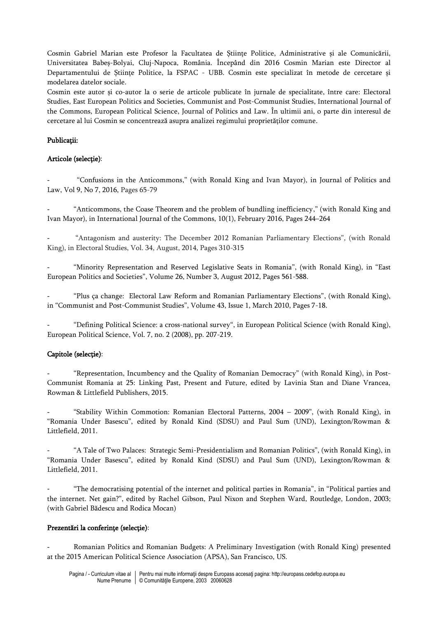Cosmin Gabriel Marian este Profesor la Facultatea de Științe Politice, Administrative și ale Comunicării, Universitatea Babeș-Bolyai, Cluj-Napoca, România. Începând din 2016 Cosmin Marian este Director al Departamentului de Științe Politice, la FSPAC - UBB. Cosmin este specializat în metode de cercetare și modelarea datelor sociale.

Cosmin este autor și co-autor la o serie de articole publicate în jurnale de specialitate, între care: Electoral Studies, East European Politics and Societies, Communist and Post-Communist Studies, International Journal of the Commons, European Political Science, Journal of Politics and Law. În ultimii ani, o parte din interesul de cercetare al lui Cosmin se concentrează asupra analizei regimului proprietăților comune.

### Publicații:

## Articole (selecție):

- "Confusions in the Anticommons," (with Ronald King and Ivan Mayor), in Journal of Politics and Law, Vol 9, No 7, 2016, Pages 65-79

- "Anticommons, the Coase Theorem and the problem of bundling inefficiency," (with Ronald King and Ivan Mayor), in International Journal of the Commons, 10(1), February 2016, Pages 244–264

"Antagonism and austerity: The December 2012 Romanian Parliamentary Elections", (with Ronald King), in Electoral Studies, Vol. 34, August, 2014, Pages 310-315

"Minority Representation and Reserved Legislative Seats in Romania", (with Ronald King), in "East European Politics and Societies", Volume 26, Number 3, August 2012, Pages 561-588.

- "Plus ça change: Electoral Law Reform and Romanian Parliamentary Elections", (with Ronald King), in "Communist and Post-Communist Studies", Volume 43, Issue 1, March 2010, Pages 7-18.

- "Defining Political Science: a cross-national survey", in European Political Science (with Ronald King), European Political Science, Vol. 7, no. 2 (2008), pp. 207-219.

# Capitole (selecție):

- "Representation, Incumbency and the Quality of Romanian Democracy" (with Ronald King), in Post-Communist Romania at 25: Linking Past, Present and Future, edited by Lavinia Stan and Diane Vrancea, Rowman & Littlefield Publishers, 2015.

"Stability Within Commotion: Romanian Electoral Patterns, 2004 - 2009", (with Ronald King), in "Romania Under Basescu", edited by Ronald Kind (SDSU) and Paul Sum (UND), Lexington/Rowman & Littlefield, 2011.

- "A Tale of Two Palaces: Strategic Semi-Presidentialism and Romanian Politics", (with Ronald King), in "Romania Under Basescu", edited by Ronald Kind (SDSU) and Paul Sum (UND), Lexington/Rowman & Littlefield, 2011.

- "The democratising potential of the internet and political parties in Romania", in "Political parties and the internet. Net gain?", edited by Rachel Gibson, Paul Nixon and Stephen Ward, Routledge, London, 2003; (with Gabriel Bădescu and Rodica Mocan)

#### Prezentări la conferințe (selecție):

- Romanian Politics and Romanian Budgets: A Preliminary Investigation (with Ronald King) presented at the 2015 American Political Science Association (APSA), San Francisco, US.